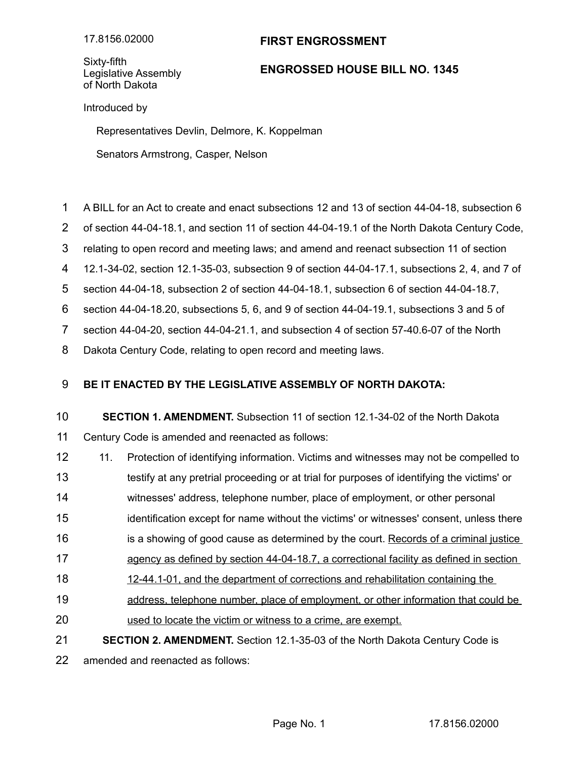## **FIRST ENGROSSMENT**

Sixty-fifth Legislative Assembly of North Dakota

## **ENGROSSED HOUSE BILL NO. 1345**

Introduced by

Representatives Devlin, Delmore, K. Koppelman

Senators Armstrong, Casper, Nelson

- A BILL for an Act to create and enact subsections 12 and 13 of section 44-04-18, subsection 6 1
- of section 44-04-18.1, and section 11 of section 44-04-19.1 of the North Dakota Century Code, 2
- relating to open record and meeting laws; and amend and reenact subsection 11 of section 3
- 12.1-34-02, section 12.1-35-03, subsection 9 of section 44-04-17.1, subsections 2, 4, and 7 of 4
- section 44-04-18, subsection 2 of section 44-04-18.1, subsection 6 of section 44-04-18.7, 5

section 44-04-18.20, subsections 5, 6, and 9 of section 44-04-19.1, subsections 3 and 5 of 6

section 44-04-20, section 44-04-21.1, and subsection 4 of section 57-40.6-07 of the North 7

Dakota Century Code, relating to open record and meeting laws. 8

## **BE IT ENACTED BY THE LEGISLATIVE ASSEMBLY OF NORTH DAKOTA:** 9

**SECTION 1. AMENDMENT.** Subsection 11 of section 12.1-34-02 of the North Dakota Century Code is amended and reenacted as follows: 10 11

- 11. Protection of identifying information. Victims and witnesses may not be compelled to 12
- testify at any pretrial proceeding or at trial for purposes of identifying the victims' or 13
- witnesses' address, telephone number, place of employment, or other personal 14
- identification except for name without the victims' or witnesses' consent, unless there 15
- is a showing of good cause as determined by the court. Records of a criminal justice 16
- agency as defined by section 44-04-18.7, a correctional facility as defined in section 17
- 12-44.1-01, and the department of corrections and rehabilitation containing the 18
- address, telephone number, place of employment, or other information that could be 19
- used to locate the victim or witness to a crime, are exempt. 20
- **SECTION 2. AMENDMENT.** Section 12.1-35-03 of the North Dakota Century Code is 21

amended and reenacted as follows: 22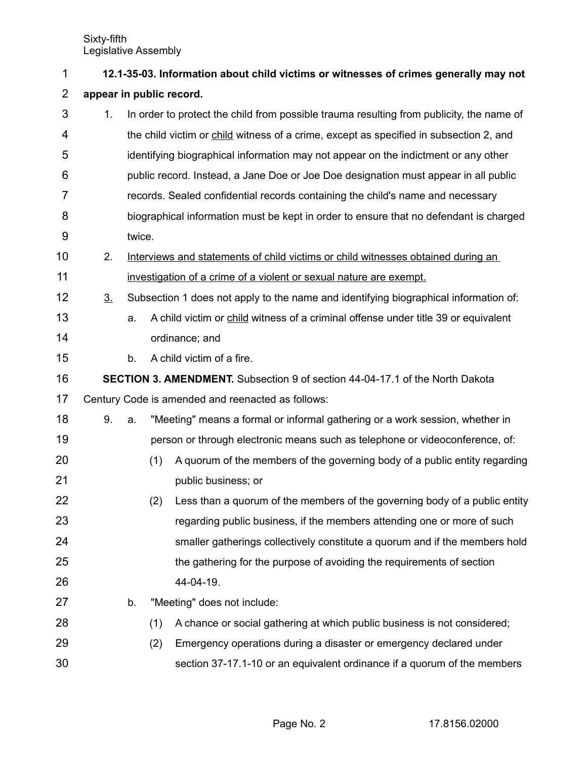| 1              | 12.1-35-03. Information about child victims or witnesses of crimes generally may not |                                                                                      |                                                                                       |                                                                                          |  |  |  |  |  |
|----------------|--------------------------------------------------------------------------------------|--------------------------------------------------------------------------------------|---------------------------------------------------------------------------------------|------------------------------------------------------------------------------------------|--|--|--|--|--|
| $\overline{2}$ | appear in public record.                                                             |                                                                                      |                                                                                       |                                                                                          |  |  |  |  |  |
| 3              | 1.                                                                                   |                                                                                      |                                                                                       | In order to protect the child from possible trauma resulting from publicity, the name of |  |  |  |  |  |
| 4              |                                                                                      |                                                                                      |                                                                                       | the child victim or child witness of a crime, except as specified in subsection 2, and   |  |  |  |  |  |
| 5              |                                                                                      |                                                                                      |                                                                                       | identifying biographical information may not appear on the indictment or any other       |  |  |  |  |  |
| 6              |                                                                                      |                                                                                      | public record. Instead, a Jane Doe or Joe Doe designation must appear in all public   |                                                                                          |  |  |  |  |  |
| 7              |                                                                                      |                                                                                      | records. Sealed confidential records containing the child's name and necessary        |                                                                                          |  |  |  |  |  |
| 8              |                                                                                      |                                                                                      | biographical information must be kept in order to ensure that no defendant is charged |                                                                                          |  |  |  |  |  |
| 9              |                                                                                      | twice.                                                                               |                                                                                       |                                                                                          |  |  |  |  |  |
| 10             | 2.                                                                                   |                                                                                      |                                                                                       | Interviews and statements of child victims or child witnesses obtained during an         |  |  |  |  |  |
| 11             |                                                                                      |                                                                                      | investigation of a crime of a violent or sexual nature are exempt.                    |                                                                                          |  |  |  |  |  |
| 12             | 3 <sub>1</sub>                                                                       | Subsection 1 does not apply to the name and identifying biographical information of: |                                                                                       |                                                                                          |  |  |  |  |  |
| 13             |                                                                                      | a.                                                                                   |                                                                                       | A child victim or child witness of a criminal offense under title 39 or equivalent       |  |  |  |  |  |
| 14             |                                                                                      |                                                                                      |                                                                                       | ordinance; and                                                                           |  |  |  |  |  |
| 15             |                                                                                      | b.                                                                                   |                                                                                       | A child victim of a fire.                                                                |  |  |  |  |  |
| 16             | <b>SECTION 3. AMENDMENT.</b> Subsection 9 of section 44-04-17.1 of the North Dakota  |                                                                                      |                                                                                       |                                                                                          |  |  |  |  |  |
| 17             |                                                                                      |                                                                                      |                                                                                       | Century Code is amended and reenacted as follows:                                        |  |  |  |  |  |
| 18             | 9.                                                                                   | a.                                                                                   |                                                                                       | "Meeting" means a formal or informal gathering or a work session, whether in             |  |  |  |  |  |
| 19             |                                                                                      |                                                                                      |                                                                                       | person or through electronic means such as telephone or videoconference, of:             |  |  |  |  |  |
| 20             |                                                                                      |                                                                                      | (1)                                                                                   | A quorum of the members of the governing body of a public entity regarding               |  |  |  |  |  |
| 21             |                                                                                      |                                                                                      |                                                                                       | public business; or                                                                      |  |  |  |  |  |
| 22             |                                                                                      |                                                                                      | (2)                                                                                   | Less than a quorum of the members of the governing body of a public entity               |  |  |  |  |  |
| 23             |                                                                                      |                                                                                      |                                                                                       | regarding public business, if the members attending one or more of such                  |  |  |  |  |  |
| 24             |                                                                                      |                                                                                      |                                                                                       | smaller gatherings collectively constitute a quorum and if the members hold              |  |  |  |  |  |
| 25             |                                                                                      |                                                                                      |                                                                                       | the gathering for the purpose of avoiding the requirements of section                    |  |  |  |  |  |
| 26             |                                                                                      |                                                                                      |                                                                                       | 44-04-19.                                                                                |  |  |  |  |  |
| 27             |                                                                                      | b.                                                                                   |                                                                                       | "Meeting" does not include:                                                              |  |  |  |  |  |
| 28             |                                                                                      |                                                                                      | (1)                                                                                   | A chance or social gathering at which public business is not considered;                 |  |  |  |  |  |
| 29             |                                                                                      |                                                                                      | (2)                                                                                   | Emergency operations during a disaster or emergency declared under                       |  |  |  |  |  |
| 30             |                                                                                      |                                                                                      |                                                                                       | section 37-17.1-10 or an equivalent ordinance if a quorum of the members                 |  |  |  |  |  |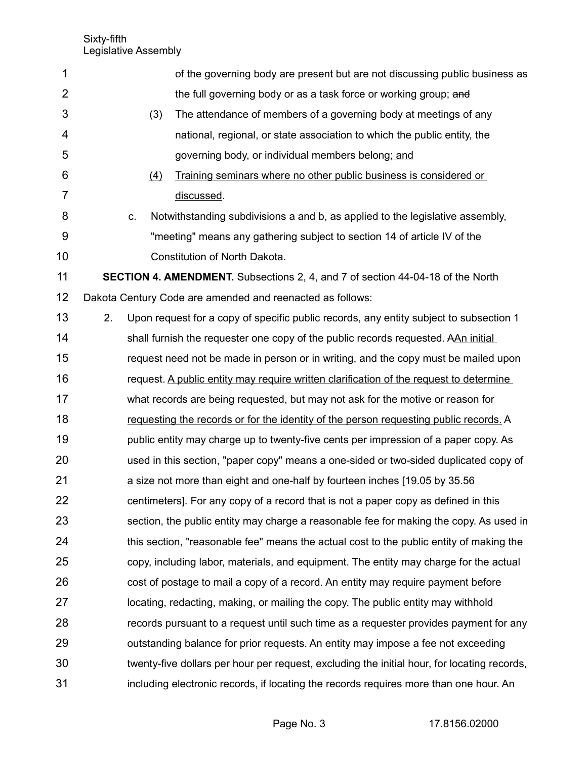| 1              |                                                                                       |                                                                                        | of the governing body are present but are not discussing public business as                 |  |  |  |  |  |
|----------------|---------------------------------------------------------------------------------------|----------------------------------------------------------------------------------------|---------------------------------------------------------------------------------------------|--|--|--|--|--|
| $\overline{2}$ |                                                                                       |                                                                                        | the full governing body or as a task force or working group; and                            |  |  |  |  |  |
| 3              |                                                                                       | (3)                                                                                    | The attendance of members of a governing body at meetings of any                            |  |  |  |  |  |
| 4              |                                                                                       |                                                                                        | national, regional, or state association to which the public entity, the                    |  |  |  |  |  |
| 5              |                                                                                       |                                                                                        | governing body, or individual members belong; and                                           |  |  |  |  |  |
| 6              |                                                                                       | (4)                                                                                    | Training seminars where no other public business is considered or                           |  |  |  |  |  |
| 7              |                                                                                       |                                                                                        | discussed.                                                                                  |  |  |  |  |  |
| 8              |                                                                                       | C.                                                                                     | Notwithstanding subdivisions a and b, as applied to the legislative assembly,               |  |  |  |  |  |
| 9              |                                                                                       |                                                                                        | "meeting" means any gathering subject to section 14 of article IV of the                    |  |  |  |  |  |
| 10             |                                                                                       |                                                                                        | Constitution of North Dakota.                                                               |  |  |  |  |  |
| 11             | <b>SECTION 4. AMENDMENT.</b> Subsections 2, 4, and 7 of section 44-04-18 of the North |                                                                                        |                                                                                             |  |  |  |  |  |
| 12             |                                                                                       |                                                                                        | Dakota Century Code are amended and reenacted as follows:                                   |  |  |  |  |  |
| 13             | 2.                                                                                    |                                                                                        | Upon request for a copy of specific public records, any entity subject to subsection 1      |  |  |  |  |  |
| 14             |                                                                                       |                                                                                        | shall furnish the requester one copy of the public records requested. AAn initial           |  |  |  |  |  |
| 15             |                                                                                       |                                                                                        | request need not be made in person or in writing, and the copy must be mailed upon          |  |  |  |  |  |
| 16             |                                                                                       | request. A public entity may require written clarification of the request to determine |                                                                                             |  |  |  |  |  |
| 17             |                                                                                       | what records are being requested, but may not ask for the motive or reason for         |                                                                                             |  |  |  |  |  |
| 18             |                                                                                       |                                                                                        | requesting the records or for the identity of the person requesting public records. A       |  |  |  |  |  |
| 19             |                                                                                       |                                                                                        | public entity may charge up to twenty-five cents per impression of a paper copy. As         |  |  |  |  |  |
| 20             | used in this section, "paper copy" means a one-sided or two-sided duplicated copy of  |                                                                                        |                                                                                             |  |  |  |  |  |
| 21             |                                                                                       |                                                                                        | a size not more than eight and one-half by fourteen inches [19.05 by 35.56]                 |  |  |  |  |  |
| 22             |                                                                                       |                                                                                        | centimeters]. For any copy of a record that is not a paper copy as defined in this          |  |  |  |  |  |
| 23             |                                                                                       |                                                                                        | section, the public entity may charge a reasonable fee for making the copy. As used in      |  |  |  |  |  |
| 24             |                                                                                       |                                                                                        | this section, "reasonable fee" means the actual cost to the public entity of making the     |  |  |  |  |  |
| 25             |                                                                                       |                                                                                        | copy, including labor, materials, and equipment. The entity may charge for the actual       |  |  |  |  |  |
| 26             |                                                                                       |                                                                                        | cost of postage to mail a copy of a record. An entity may require payment before            |  |  |  |  |  |
| 27             |                                                                                       |                                                                                        | locating, redacting, making, or mailing the copy. The public entity may withhold            |  |  |  |  |  |
| 28             |                                                                                       |                                                                                        | records pursuant to a request until such time as a requester provides payment for any       |  |  |  |  |  |
| 29             |                                                                                       |                                                                                        | outstanding balance for prior requests. An entity may impose a fee not exceeding            |  |  |  |  |  |
| 30             |                                                                                       |                                                                                        | twenty-five dollars per hour per request, excluding the initial hour, for locating records, |  |  |  |  |  |
| 31             |                                                                                       |                                                                                        | including electronic records, if locating the records requires more than one hour. An       |  |  |  |  |  |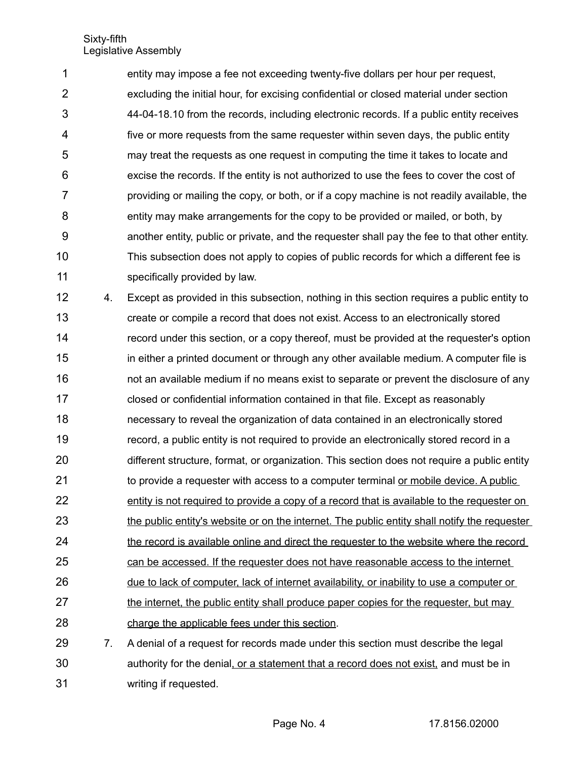entity may impose a fee not exceeding twenty-five dollars per hour per request, excluding the initial hour, for excising confidential or closed material under section 44-04-18.10 from the records, including electronic records. If a public entity receives five or more requests from the same requester within seven days, the public entity may treat the requests as one request in computing the time it takes to locate and excise the records. If the entity is not authorized to use the fees to cover the cost of providing or mailing the copy, or both, or if a copy machine is not readily available, the entity may make arrangements for the copy to be provided or mailed, or both, by another entity, public or private, and the requester shall pay the fee to that other entity. This subsection does not apply to copies of public records for which a different fee is specifically provided by law. 1 2 3 4 5 6 7 8 9 10 11

4. Except as provided in this subsection, nothing in this section requires a public entity to create or compile a record that does not exist. Access to an electronically stored record under this section, or a copy thereof, must be provided at the requester's option in either a printed document or through any other available medium. A computer file is not an available medium if no means exist to separate or prevent the disclosure of any closed or confidential information contained in that file. Except as reasonably necessary to reveal the organization of data contained in an electronically stored record, a public entity is not required to provide an electronically stored record in a different structure, format, or organization. This section does not require a public entity to provide a requester with access to a computer terminal or mobile device. A public entity is not required to provide a copy of a record that is available to the requester on the public entity's website or on the internet. The public entity shall notify the requester the record is available online and direct the requester to the website where the record can be accessed. If the requester does not have reasonable access to the internet due to lack of computer, lack of internet availability, or inability to use a computer or the internet, the public entity shall produce paper copies for the requester, but may charge the applicable fees under this section. 7. A denial of a request for records made under this section must describe the legal 12 13 14 15 16 17 18 19 20 21 22 23 24 25 26 27 28 29

authority for the denial, or a statement that a record does not exist, and must be in writing if requested. 30 31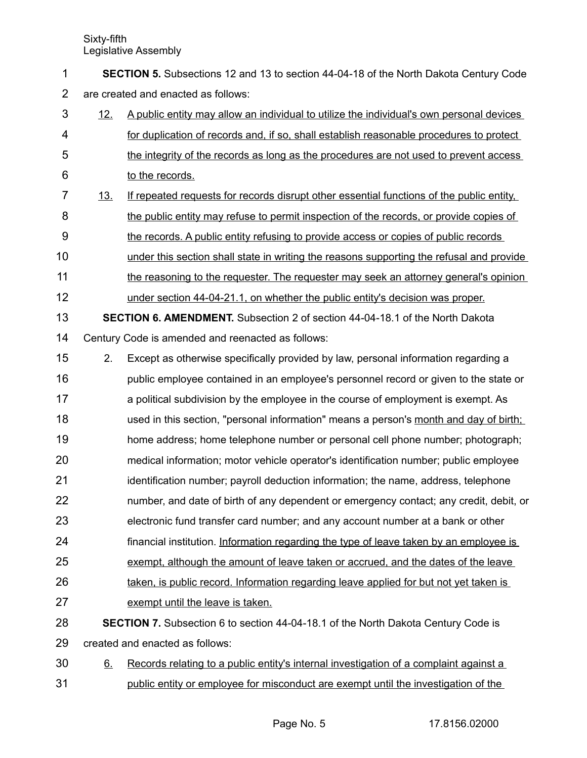**SECTION 5.** Subsections 12 and 13 to section 44-04-18 of the North Dakota Century Code are created and enacted as follows: 1 2

- 12. A public entity may allow an individual to utilize the individual's own personal devices for duplication of records and, if so, shall establish reasonable procedures to protect the integrity of the records as long as the procedures are not used to prevent access to the records. 3 4 5 6
- 13. If repeated requests for records disrupt other essential functions of the public entity, the public entity may refuse to permit inspection of the records, or provide copies of the records. A public entity refusing to provide access or copies of public records 7 8 9
- under this section shall state in writing the reasons supporting the refusal and provide 10
- the reasoning to the requester. The requester may seek an attorney general's opinion 11
- under section 44-04-21.1, on whether the public entity's decision was proper. 12
- **SECTION 6. AMENDMENT.** Subsection 2 of section 44-04-18.1 of the North Dakota Century Code is amended and reenacted as follows: 13 14
- 2. Except as otherwise specifically provided by law, personal information regarding a 15
- public employee contained in an employee's personnel record or given to the state or a political subdivision by the employee in the course of employment is exempt. As used in this section, "personal information" means a person's month and day of birth; home address; home telephone number or personal cell phone number; photograph; medical information; motor vehicle operator's identification number; public employee identification number; payroll deduction information; the name, address, telephone 16 17 18 19 20 21
- number, and date of birth of any dependent or emergency contact; any credit, debit, or 22
- electronic fund transfer card number; and any account number at a bank or other 23
- financial institution. Information regarding the type of leave taken by an employee is 24
- exempt, although the amount of leave taken or accrued, and the dates of the leave 25
- taken, is public record. Information regarding leave applied for but not yet taken is exempt until the leave is taken. 26 27
- **SECTION 7.** Subsection 6 to section 44-04-18.1 of the North Dakota Century Code is created and enacted as follows: 28 29
- 6. Records relating to a public entity's internal investigation of a complaint against a public entity or employee for misconduct are exempt until the investigation of the 30 31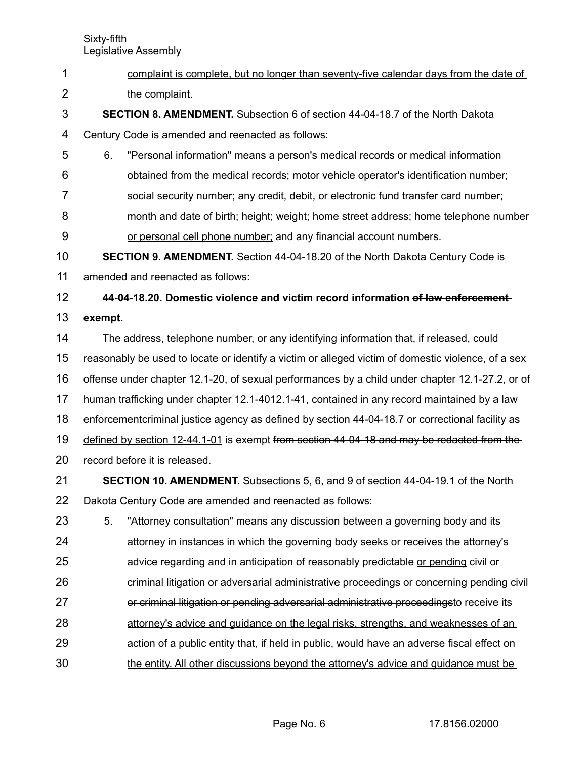- Sixty-fifth Legislative Assembly complaint is complete, but no longer than seventy-five calendar days from the date of the complaint. **SECTION 8. AMENDMENT.** Subsection 6 of section 44-04-18.7 of the North Dakota Century Code is amended and reenacted as follows: 6. "Personal information" means a person's medical records or medical information obtained from the medical records; motor vehicle operator's identification number; social security number; any credit, debit, or electronic fund transfer card number; month and date of birth; height; weight; home street address; home telephone number or personal cell phone number; and any financial account numbers. **SECTION 9. AMENDMENT.** Section 44-04-18.20 of the North Dakota Century Code is amended and reenacted as follows: **44-04-18.20. Domestic violence and victim record information of law enforcement exempt.** The address, telephone number, or any identifying information that, if released, could reasonably be used to locate or identify a victim or alleged victim of domestic violence, of a sex offense under chapter 12.1-20, of sexual performances by a child under chapter 12.1-27.2, or of human trafficking under chapter  $42.1 - 4012.1 - 41$ , contained in any record maintained by a lawenforcement criminal justice agency as defined by section 44-04-18.7 or correctional facility as defined by section 12-44.1-01 is exempt from section 44-04-18 and may be redacted from the record before it is released. **SECTION 10. AMENDMENT.** Subsections 5, 6, and 9 of section 44-04-19.1 of the North Dakota Century Code are amended and reenacted as follows: 5. "Attorney consultation" means any discussion between a governing body and its attorney in instances in which the governing body seeks or receives the attorney's advice regarding and in anticipation of reasonably predictable or pending civil or criminal litigation or adversarial administrative proceedings or concerning pending civilor criminal litigation or pending adversarial administrative proceedingsto receive its attorney's advice and guidance on the legal risks, strengths, and weaknesses of an action of a public entity that, if held in public, would have an adverse fiscal effect on 1 2 3 4 5 6 7 8 9 10 11 12 13 14 15 16 17 18 19 20 21 22 23 24 25 26 27 28 29
- the entity. All other discussions beyond the attorney's advice and guidance must be 30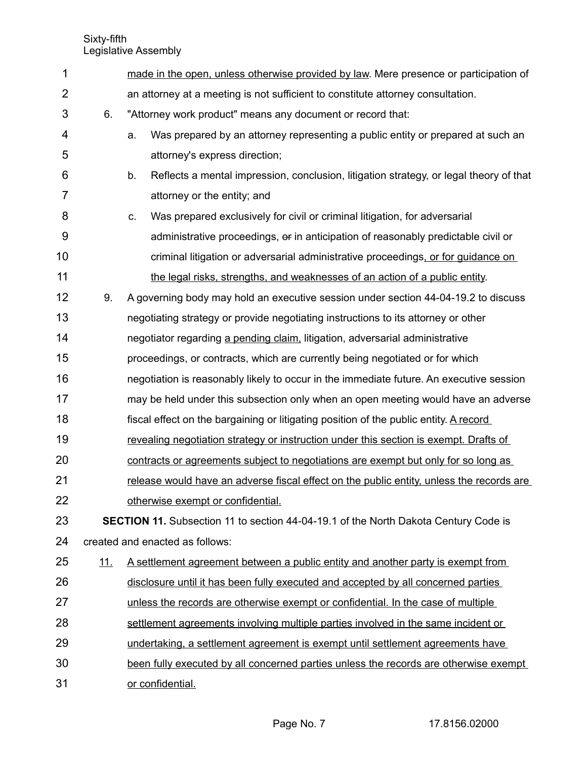| 1              |                                                                                            | made in the open, unless otherwise provided by law. Mere presence or participation of        |  |  |  |  |
|----------------|--------------------------------------------------------------------------------------------|----------------------------------------------------------------------------------------------|--|--|--|--|
| $\overline{2}$ |                                                                                            | an attorney at a meeting is not sufficient to constitute attorney consultation.              |  |  |  |  |
| 3              | 6.                                                                                         | "Attorney work product" means any document or record that:                                   |  |  |  |  |
| 4              |                                                                                            | Was prepared by an attorney representing a public entity or prepared at such an<br>a.        |  |  |  |  |
| 5              |                                                                                            | attorney's express direction;                                                                |  |  |  |  |
| 6              |                                                                                            | b.<br>Reflects a mental impression, conclusion, litigation strategy, or legal theory of that |  |  |  |  |
| $\overline{7}$ |                                                                                            | attorney or the entity; and                                                                  |  |  |  |  |
| 8              |                                                                                            | Was prepared exclusively for civil or criminal litigation, for adversarial<br>C.             |  |  |  |  |
| 9              |                                                                                            | administrative proceedings, or in anticipation of reasonably predictable civil or            |  |  |  |  |
| 10             |                                                                                            | criminal litigation or adversarial administrative proceedings, or for guidance on            |  |  |  |  |
| 11             |                                                                                            | the legal risks, strengths, and weaknesses of an action of a public entity.                  |  |  |  |  |
| 12             | 9.                                                                                         | A governing body may hold an executive session under section 44-04-19.2 to discuss           |  |  |  |  |
| 13             |                                                                                            | negotiating strategy or provide negotiating instructions to its attorney or other            |  |  |  |  |
| 14             |                                                                                            | negotiator regarding a pending claim, litigation, adversarial administrative                 |  |  |  |  |
| 15             |                                                                                            | proceedings, or contracts, which are currently being negotiated or for which                 |  |  |  |  |
| 16             |                                                                                            | negotiation is reasonably likely to occur in the immediate future. An executive session      |  |  |  |  |
| 17             |                                                                                            | may be held under this subsection only when an open meeting would have an adverse            |  |  |  |  |
| 18             |                                                                                            | fiscal effect on the bargaining or litigating position of the public entity. A record        |  |  |  |  |
| 19             |                                                                                            | revealing negotiation strategy or instruction under this section is exempt. Drafts of        |  |  |  |  |
| 20             |                                                                                            | contracts or agreements subject to negotiations are exempt but only for so long as           |  |  |  |  |
| 21             |                                                                                            | release would have an adverse fiscal effect on the public entity, unless the records are     |  |  |  |  |
| 22             |                                                                                            | otherwise exempt or confidential.                                                            |  |  |  |  |
| 23             | <b>SECTION 11.</b> Subsection 11 to section 44-04-19.1 of the North Dakota Century Code is |                                                                                              |  |  |  |  |
| 24             | created and enacted as follows:                                                            |                                                                                              |  |  |  |  |
| 25             | <u>11.</u>                                                                                 | <u>A settlement agreement between a public entity and another party is exempt from</u>       |  |  |  |  |
| 26             |                                                                                            | disclosure until it has been fully executed and accepted by all concerned parties            |  |  |  |  |
| 27             |                                                                                            | unless the records are otherwise exempt or confidential. In the case of multiple             |  |  |  |  |
| 28             |                                                                                            | settlement agreements involving multiple parties involved in the same incident or            |  |  |  |  |
| 29             |                                                                                            | undertaking, a settlement agreement is exempt until settlement agreements have               |  |  |  |  |
| 30             |                                                                                            | been fully executed by all concerned parties unless the records are otherwise exempt         |  |  |  |  |
| 31             |                                                                                            | or confidential.                                                                             |  |  |  |  |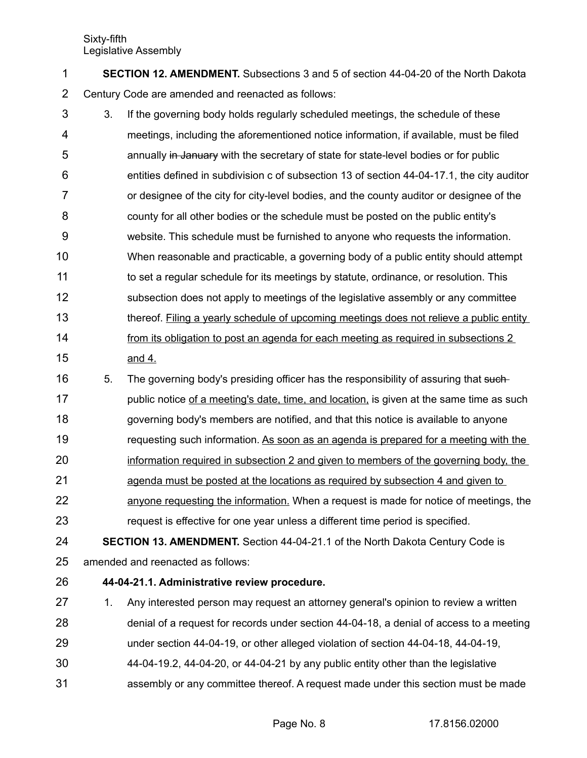**SECTION 12. AMENDMENT.** Subsections 3 and 5 of section 44-04-20 of the North Dakota Century Code are amended and reenacted as follows: 1 2

- 3. If the governing body holds regularly scheduled meetings, the schedule of these meetings, including the aforementioned notice information, if available, must be filed annually in January with the secretary of state for state-level bodies or for public entities defined in subdivision c of subsection 13 of section 44-04-17.1, the city auditor or designee of the city for city-level bodies, and the county auditor or designee of the county for all other bodies or the schedule must be posted on the public entity's website. This schedule must be furnished to anyone who requests the information. When reasonable and practicable, a governing body of a public entity should attempt to set a regular schedule for its meetings by statute, ordinance, or resolution. This subsection does not apply to meetings of the legislative assembly or any committee thereof. Filing a yearly schedule of upcoming meetings does not relieve a public entity from its obligation to post an agenda for each meeting as required in subsections 2 and 4. 3 4 5 6 7 8 9 10 11 12 13 14 15
- 5. The governing body's presiding officer has the responsibility of assuring that suchpublic notice of a meeting's date, time, and location, is given at the same time as such governing body's members are notified, and that this notice is available to anyone requesting such information. As soon as an agenda is prepared for a meeting with the 16 17 18 19
- information required in subsection 2 and given to members of the governing body, the 20
- agenda must be posted at the locations as required by subsection 4 and given to 21
- anyone requesting the information. When a request is made for notice of meetings, the request is effective for one year unless a different time period is specified. 22 23
- **SECTION 13. AMENDMENT.** Section 44-04-21.1 of the North Dakota Century Code is amended and reenacted as follows: 24 25
- **44-04-21.1. Administrative review procedure.** 26
- 1. Any interested person may request an attorney general's opinion to review a written denial of a request for records under section 44-04-18, a denial of access to a meeting 27 28
- under section 44-04-19, or other alleged violation of section 44-04-18, 44-04-19, 29
- 44-04-19.2, 44-04-20, or 44-04-21 by any public entity other than the legislative 30
- assembly or any committee thereof. A request made under this section must be made 31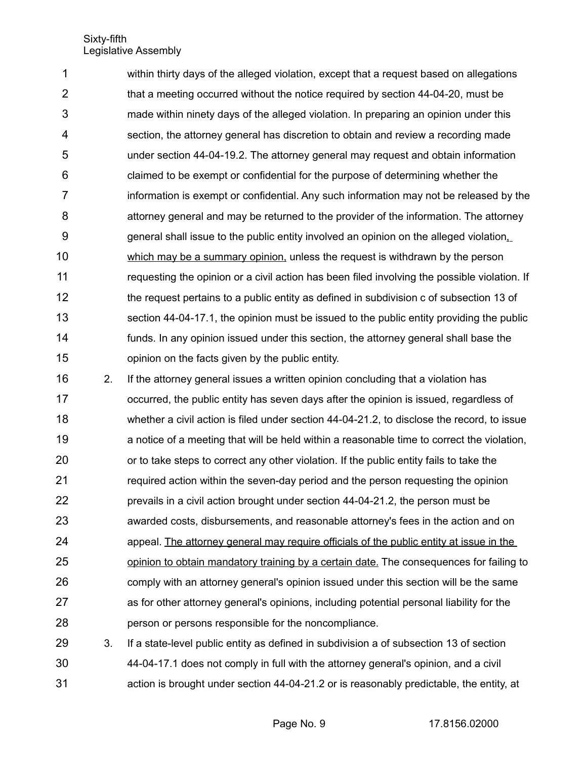within thirty days of the alleged violation, except that a request based on allegations that a meeting occurred without the notice required by section 44-04-20, must be made within ninety days of the alleged violation. In preparing an opinion under this section, the attorney general has discretion to obtain and review a recording made under section 44-04-19.2. The attorney general may request and obtain information claimed to be exempt or confidential for the purpose of determining whether the information is exempt or confidential. Any such information may not be released by the attorney general and may be returned to the provider of the information. The attorney general shall issue to the public entity involved an opinion on the alleged violation, which may be a summary opinion, unless the request is withdrawn by the person requesting the opinion or a civil action has been filed involving the possible violation. If the request pertains to a public entity as defined in subdivision c of subsection 13 of section 44-04-17.1, the opinion must be issued to the public entity providing the public funds. In any opinion issued under this section, the attorney general shall base the opinion on the facts given by the public entity. 1 2 3 4 5 6 7 8 9 10 11 12 13 14 15

2. If the attorney general issues a written opinion concluding that a violation has occurred, the public entity has seven days after the opinion is issued, regardless of whether a civil action is filed under section 44-04-21.2, to disclose the record, to issue a notice of a meeting that will be held within a reasonable time to correct the violation, or to take steps to correct any other violation. If the public entity fails to take the required action within the seven-day period and the person requesting the opinion prevails in a civil action brought under section 44-04-21.2, the person must be awarded costs, disbursements, and reasonable attorney's fees in the action and on appeal. The attorney general may require officials of the public entity at issue in the opinion to obtain mandatory training by a certain date. The consequences for failing to comply with an attorney general's opinion issued under this section will be the same as for other attorney general's opinions, including potential personal liability for the person or persons responsible for the noncompliance. 16 17 18 19 20 21 22 23 24 25 26 27 28

3. If a state-level public entity as defined in subdivision a of subsection 13 of section 44-04-17.1 does not comply in full with the attorney general's opinion, and a civil action is brought under section 44-04-21.2 or is reasonably predictable, the entity, at 29 30 31